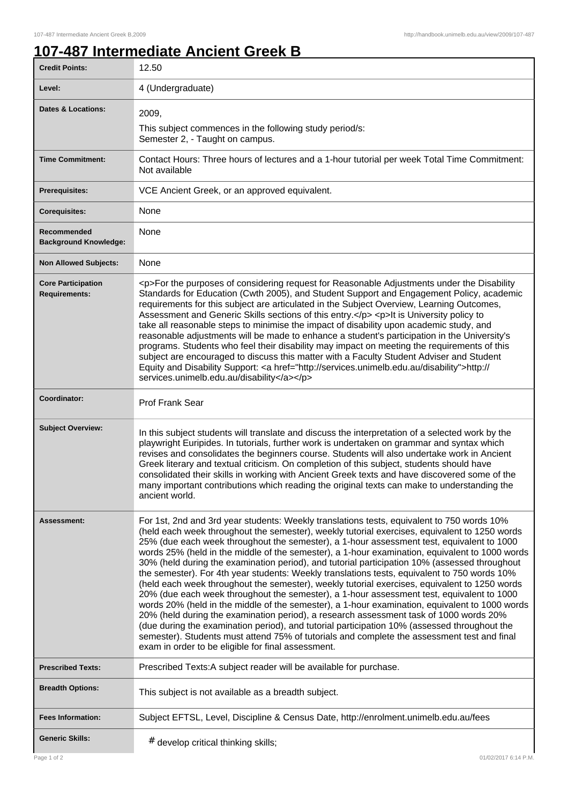## **107-487 Intermediate Ancient Greek B**

| <b>Credit Points:</b>                             | 12.50                                                                                                                                                                                                                                                                                                                                                                                                                                                                                                                                                                                                                                                                                                                                                                                                                                                                                                                                                                                                                                                                                                                                                                                                                                      |
|---------------------------------------------------|--------------------------------------------------------------------------------------------------------------------------------------------------------------------------------------------------------------------------------------------------------------------------------------------------------------------------------------------------------------------------------------------------------------------------------------------------------------------------------------------------------------------------------------------------------------------------------------------------------------------------------------------------------------------------------------------------------------------------------------------------------------------------------------------------------------------------------------------------------------------------------------------------------------------------------------------------------------------------------------------------------------------------------------------------------------------------------------------------------------------------------------------------------------------------------------------------------------------------------------------|
| Level:                                            | 4 (Undergraduate)                                                                                                                                                                                                                                                                                                                                                                                                                                                                                                                                                                                                                                                                                                                                                                                                                                                                                                                                                                                                                                                                                                                                                                                                                          |
| <b>Dates &amp; Locations:</b>                     | 2009,                                                                                                                                                                                                                                                                                                                                                                                                                                                                                                                                                                                                                                                                                                                                                                                                                                                                                                                                                                                                                                                                                                                                                                                                                                      |
|                                                   | This subject commences in the following study period/s:<br>Semester 2, - Taught on campus.                                                                                                                                                                                                                                                                                                                                                                                                                                                                                                                                                                                                                                                                                                                                                                                                                                                                                                                                                                                                                                                                                                                                                 |
| <b>Time Commitment:</b>                           | Contact Hours: Three hours of lectures and a 1-hour tutorial per week Total Time Commitment:<br>Not available                                                                                                                                                                                                                                                                                                                                                                                                                                                                                                                                                                                                                                                                                                                                                                                                                                                                                                                                                                                                                                                                                                                              |
| <b>Prerequisites:</b>                             | VCE Ancient Greek, or an approved equivalent.                                                                                                                                                                                                                                                                                                                                                                                                                                                                                                                                                                                                                                                                                                                                                                                                                                                                                                                                                                                                                                                                                                                                                                                              |
| <b>Corequisites:</b>                              | None                                                                                                                                                                                                                                                                                                                                                                                                                                                                                                                                                                                                                                                                                                                                                                                                                                                                                                                                                                                                                                                                                                                                                                                                                                       |
| Recommended<br><b>Background Knowledge:</b>       | None                                                                                                                                                                                                                                                                                                                                                                                                                                                                                                                                                                                                                                                                                                                                                                                                                                                                                                                                                                                                                                                                                                                                                                                                                                       |
| <b>Non Allowed Subjects:</b>                      | None                                                                                                                                                                                                                                                                                                                                                                                                                                                                                                                                                                                                                                                                                                                                                                                                                                                                                                                                                                                                                                                                                                                                                                                                                                       |
| <b>Core Participation</b><br><b>Requirements:</b> | <p>For the purposes of considering request for Reasonable Adjustments under the Disability<br/>Standards for Education (Cwth 2005), and Student Support and Engagement Policy, academic<br/>requirements for this subject are articulated in the Subject Overview, Learning Outcomes,<br/>Assessment and Generic Skills sections of this entry.</p> <p>It is University policy to<br/>take all reasonable steps to minimise the impact of disability upon academic study, and<br/>reasonable adjustments will be made to enhance a student's participation in the University's<br/>programs. Students who feel their disability may impact on meeting the requirements of this<br/>subject are encouraged to discuss this matter with a Faculty Student Adviser and Student<br/>Equity and Disability Support: &lt; a href="http://services.unimelb.edu.au/disability"&gt;http://<br/>services.unimelb.edu.au/disability</p>                                                                                                                                                                                                                                                                                                               |
| Coordinator:                                      | Prof Frank Sear                                                                                                                                                                                                                                                                                                                                                                                                                                                                                                                                                                                                                                                                                                                                                                                                                                                                                                                                                                                                                                                                                                                                                                                                                            |
| <b>Subject Overview:</b>                          | In this subject students will translate and discuss the interpretation of a selected work by the<br>playwright Euripides. In tutorials, further work is undertaken on grammar and syntax which<br>revises and consolidates the beginners course. Students will also undertake work in Ancient<br>Greek literary and textual criticism. On completion of this subject, students should have<br>consolidated their skills in working with Ancient Greek texts and have discovered some of the<br>many important contributions which reading the original texts can make to understanding the<br>ancient world.                                                                                                                                                                                                                                                                                                                                                                                                                                                                                                                                                                                                                               |
| Assessment:                                       | For 1st, 2nd and 3rd year students: Weekly translations tests, equivalent to 750 words 10%<br>(held each week throughout the semester), weekly tutorial exercises, equivalent to 1250 words<br>25% (due each week throughout the semester), a 1-hour assessment test, equivalent to 1000<br>words 25% (held in the middle of the semester), a 1-hour examination, equivalent to 1000 words<br>30% (held during the examination period), and tutorial participation 10% (assessed throughout<br>the semester). For 4th year students: Weekly translations tests, equivalent to 750 words 10%<br>(held each week throughout the semester), weekly tutorial exercises, equivalent to 1250 words<br>20% (due each week throughout the semester), a 1-hour assessment test, equivalent to 1000<br>words 20% (held in the middle of the semester), a 1-hour examination, equivalent to 1000 words<br>20% (held during the examination period), a research assessment task of 1000 words 20%<br>(due during the examination period), and tutorial participation 10% (assessed throughout the<br>semester). Students must attend 75% of tutorials and complete the assessment test and final<br>exam in order to be eligible for final assessment. |
| <b>Prescribed Texts:</b>                          | Prescribed Texts:A subject reader will be available for purchase.                                                                                                                                                                                                                                                                                                                                                                                                                                                                                                                                                                                                                                                                                                                                                                                                                                                                                                                                                                                                                                                                                                                                                                          |
| <b>Breadth Options:</b>                           | This subject is not available as a breadth subject.                                                                                                                                                                                                                                                                                                                                                                                                                                                                                                                                                                                                                                                                                                                                                                                                                                                                                                                                                                                                                                                                                                                                                                                        |
| <b>Fees Information:</b>                          | Subject EFTSL, Level, Discipline & Census Date, http://enrolment.unimelb.edu.au/fees                                                                                                                                                                                                                                                                                                                                                                                                                                                                                                                                                                                                                                                                                                                                                                                                                                                                                                                                                                                                                                                                                                                                                       |
| <b>Generic Skills:</b>                            | # develop critical thinking skills;                                                                                                                                                                                                                                                                                                                                                                                                                                                                                                                                                                                                                                                                                                                                                                                                                                                                                                                                                                                                                                                                                                                                                                                                        |
| Page 1 of 2                                       | 01/02/2017 6:14 P.M.                                                                                                                                                                                                                                                                                                                                                                                                                                                                                                                                                                                                                                                                                                                                                                                                                                                                                                                                                                                                                                                                                                                                                                                                                       |